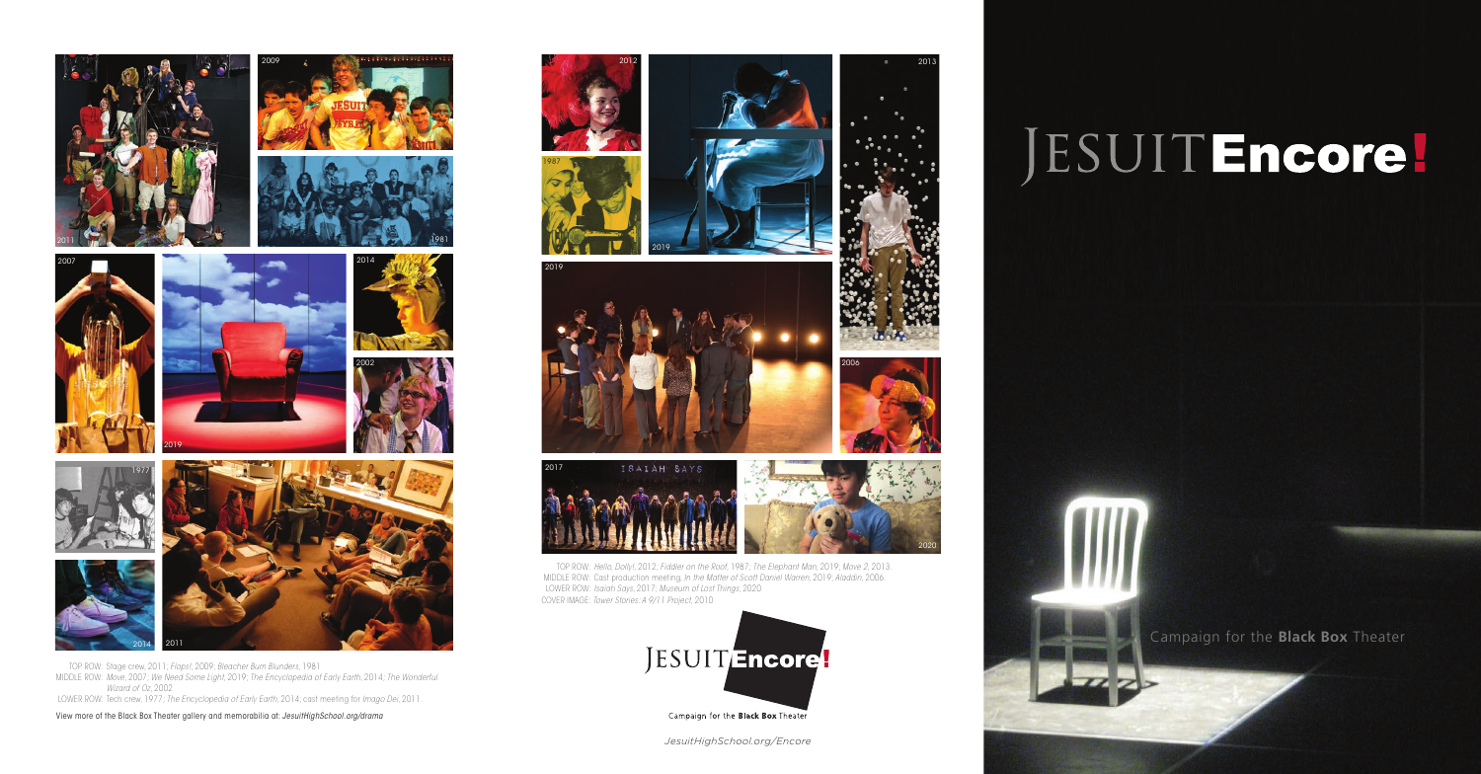Campaign for the **Black Box** Theater

2002





2020

2014

2013



2017





2014



 TOP ROW: Stage crew, 2011; *Flops!*, 2009; *Bleacher Bum Blunders*, 1981 MIDDLE ROW: *Move*, 2007; *We Need Some Light*, 2019; *The Encyclopedia of Early Earth*, 2014; *The Wonderful Wizard of Oz*, 2002 LOWER ROW: Tech crew, 1977; *The Encyclopedia of Early Earth*, 2014; cast meeting for *Imago Dei*, 2011.





View more of the Black Box Theater gallery and memorabilia at: *JesuitHighSchool.org/drama*

 TOP ROW: *Hello, Dolly!*, 2012; *Fiddler on the Roof*, 1987; *The Elephant Man*, 2019; *Move 2*, 2013. MIDDLE ROW: Cast production meeting, *In the Matter of Scott Daniel Warren*, 2019; *Aladdin*, 2006. LOWER ROW: *Isaiah Says*, 2017; *Museum of Lost Things*, 2020



Campaign for the **Black Box** Theater

COVER IMAGE: *Tower Stories: A 9/11 Project*, 2010



1977



2006

*JesuitHighSchool.org/Encore*

# JESUIT Encore!